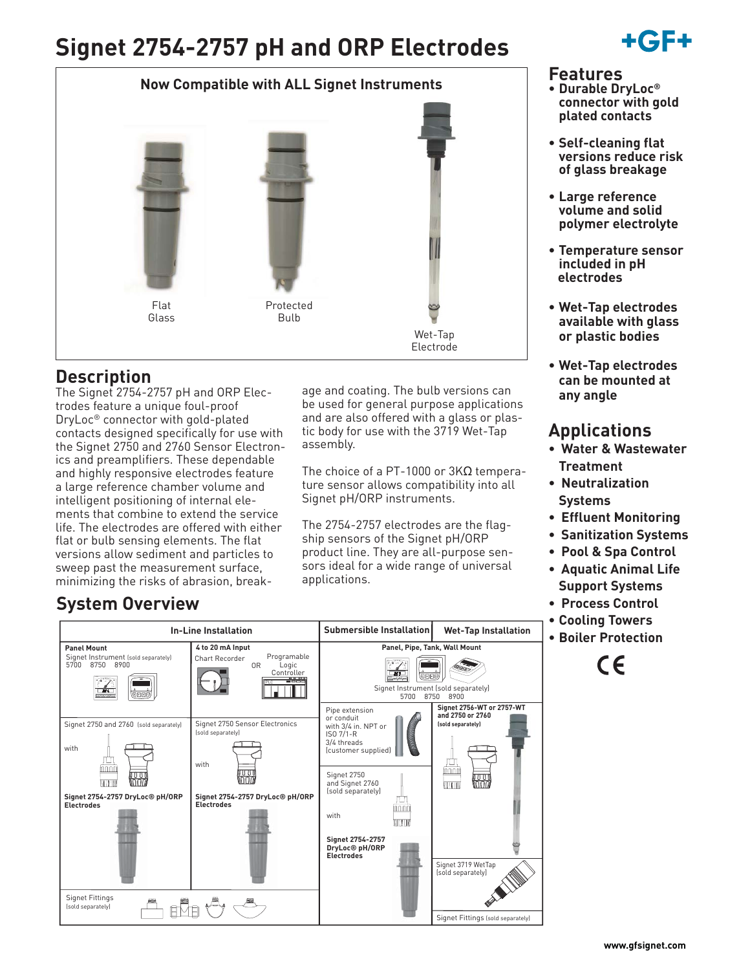# **Signet 2754-2757 pH and ORP Electrodes**



# **Description**

The Signet 2754-2757 pH and ORP Electrodes feature a unique foul-proof DryLoc® connector with gold-plated contacts designed specifically for use with the Signet 2750 and 2760 Sensor Electronics and preamplifiers. These dependable and highly responsive electrodes feature a large reference chamber volume and intelligent positioning of internal elements that combine to extend the service life. The electrodes are offered with either flat or bulb sensing elements. The flat versions allow sediment and particles to sweep past the measurement surface, minimizing the risks of abrasion, break-

# **System Overview**

age and coating. The bulb versions can be used for general purpose applications and are also offered with a glass or plastic body for use with the 3719 Wet-Tap assembly.

The choice of a PT-1000 or 3KΩ temperature sensor allows compatibility into all Signet pH/ORP instruments.

The 2754-2757 electrodes are the flagship sensors of the Signet pH/ORP product line. They are all-purpose sensors ideal for a wide range of universal applications.

**Wet-Tap Installation**

# **Features**

**• Durable DryLoc® connector with gold plated contacts**

+GF+

- **Self-cleaning flat versions reduce risk of glass breakage**
- **Large reference volume and solid polymer electrolyte**
- **Temperature sensor included in pH electrodes**
- **Wet-Tap electrodes available with glass or plastic bodies**
- **Wet-Tap electrodes can be mounted at any angle**

# **Applications**

- **Water & Wastewater Treatment**
- **Neutralization Systems**
- **Effluent Monitoring**
- **Sanitization Systems**
- **Pool & Spa Control**
- **Aquatic Animal Life Support Systems**
- **Process Control**
- **Cooling Towers**
- **Boiler Protection**

 $\epsilon$ 



**In-Line Installation Submersible Installation**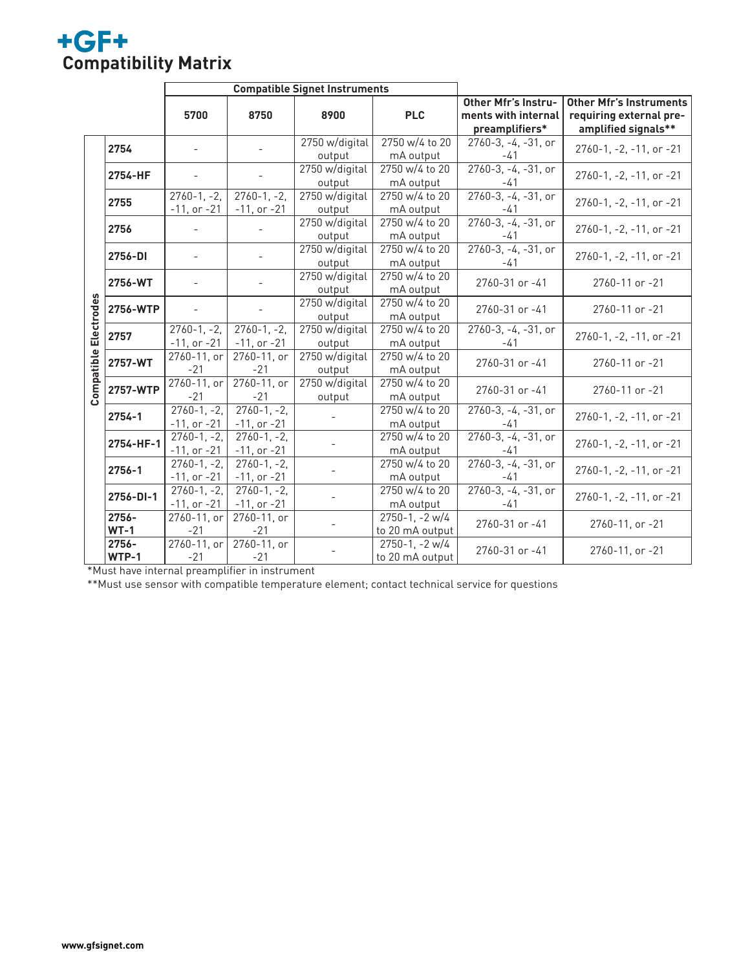# **+GF+**<br>Compatibility Matrix

|            |           | <b>Compatible Signet Instruments</b> |                  |                |                       |                                |                                                                 |
|------------|-----------|--------------------------------------|------------------|----------------|-----------------------|--------------------------------|-----------------------------------------------------------------|
|            |           |                                      |                  |                |                       | <b>Other Mfr's Instru-</b>     | <b>Other Mfr's Instruments</b>                                  |
|            |           | 5700                                 | 8750             | 8900           | <b>PLC</b>            | ments with internal            | requiring external pre-                                         |
|            |           |                                      |                  |                |                       | preamplifiers*                 | amplified signals**                                             |
|            | 2754      |                                      |                  | 2750 w/digital | 2750 w/4 to 20        | $2760-3, -4, -31$ , or         | 2760-1, -2, -11, or -21                                         |
|            |           |                                      |                  | output         | mA output             | -41                            |                                                                 |
|            | 2754-HF   |                                      |                  | 2750 w/digital | 2750 w/4 to 20        | $2760-3, -4, -31,$ or          | 2760-1, -2, -11, or -21                                         |
|            |           |                                      |                  | output         | mA output             | -41                            |                                                                 |
|            | 2755      | $\overline{2760}$ -1, -2,            | $2760 - 1, -2,$  | 2750 w/digital | 2750 w/4 to 20        | $2760-3, -4, -31,$ or          | 2760-1, -2, -11, or -21                                         |
|            |           | $-11$ , or $-21$                     | $-11$ , or $-21$ | output         | mA output             | $-41$                          |                                                                 |
|            | 2756      |                                      |                  | 2750 w/digital | 2750 w/4 to 20        | $2760-3, -4, -31,$ or<br>-41   | 2760-1, -2, -11, or -21                                         |
|            |           |                                      |                  | output         | mA output             |                                |                                                                 |
|            | 2756-DI   |                                      |                  | 2750 w/digital | 2750 w/4 to 20        | $2760-3, -4, -31,$ or          | 2760-1, -2, -11, or -21                                         |
|            |           |                                      |                  | output         | mA output             | -41                            |                                                                 |
|            | 2756-WT   |                                      |                  | 2750 w/digital | 2750 w/4 to 20        | 2760-31 or -41                 | 2760-11 or -21<br>2760-11 or -21                                |
|            |           |                                      |                  | output         | mA output             |                                |                                                                 |
|            | 2756-WTP  |                                      |                  | 2750 w/digital | 2750 w/4 to 20        | 2760-31 or -41                 |                                                                 |
| Electrodes |           |                                      |                  | output         | mA output             |                                |                                                                 |
|            | 2757      | $2760 - 1, -2,$                      | $2760 - 1, -2,$  | 2750 w/digital | 2750 w/4 to 20        | 2760-3, -4, -31, or            | $2760 - 1$ , $-2$ , $-11$ , or $-21$                            |
|            |           | $-11$ , or $-21$                     | $-11$ , or $-21$ | output         | mA output             | $-41$                          |                                                                 |
|            | 2757-WT   | 2760-11, or                          | 2760-11, or      | 2750 w/digital | 2750 w/4 to 20        | 2760-31 or -41                 | 2760-11 or -21                                                  |
| Compatible |           | $-21$                                | $-21$            | output         | mA output             |                                |                                                                 |
|            | 2757-WTP  | 2760-11, or                          | $2760 - 11$ , or | 2750 w/digital | 2750 w/4 to 20        | 2760-31 or -41                 | 2760-11 or -21                                                  |
|            |           | $-21$                                | $-21$            | output         | mA output             |                                |                                                                 |
|            | 2754-1    | $2760 - 1, -2,$                      | $2760-1, -2,$    |                | 2750 w/4 to 20        | 2760-3, -4, -31, or<br>$-41$   | 2760-1, -2, -11, or -21                                         |
|            |           | $-11$ , or $-21$                     | $-11$ , or $-21$ |                | mA output             |                                |                                                                 |
|            | 2754-HF-1 | $2760 - 1, -2,$                      | $2760 - 1, -2,$  |                | 2750 w/4 to 20        | $2760-3, -4, -31,$ or<br>-41   | 2760-1, -2, -11, or -21                                         |
|            |           | $-11$ , or $-21$                     | $-11$ , or $-21$ |                | mA output             |                                |                                                                 |
|            | 2756-1    | $2760 - 1, -2,$                      | $2760 - 1, -2,$  |                | 2750 w/4 to 20        | $2760-3, -4, -31,$ or<br>-41   | $2760 - 1$ , $-2$ , $-11$ , or $-21$<br>2760-1, -2, -11, or -21 |
|            |           | $-11$ , or $-21$                     | $-11$ , or $-21$ |                | mA output             |                                |                                                                 |
|            | 2756-DI-1 | $2760 - 1, -2,$                      | $2760 - 1, -2,$  |                | 2750 w/4 to 20        | $2760-3, -4, -31,$ or<br>$-41$ |                                                                 |
|            |           | $-11$ , or $-21$                     | $-11$ , or $-21$ |                | mA output             |                                |                                                                 |
|            | 2756-     | 2760-11, or                          | 2760-11, or      |                | $2750 - 1$ , $-2 w/4$ | 2760-31 or -41                 | 2760-11, or -21                                                 |
|            | $WT-1$    | $-21$                                | $-21$            |                | to 20 mA output       |                                |                                                                 |
|            | 2756-     | 2760-11, or                          | 2760-11, or      |                | $2750 - 1$ , $-2 w/4$ | 2760-31 or -41                 | 2760-11, or -21                                                 |
|            | WTP-1     | $-21$                                | $-21$            |                | to 20 mA output       |                                |                                                                 |

\*Must have internal preamplifier in instrument

\*\*Must use sensor with compatible temperature element; contact technical service for questions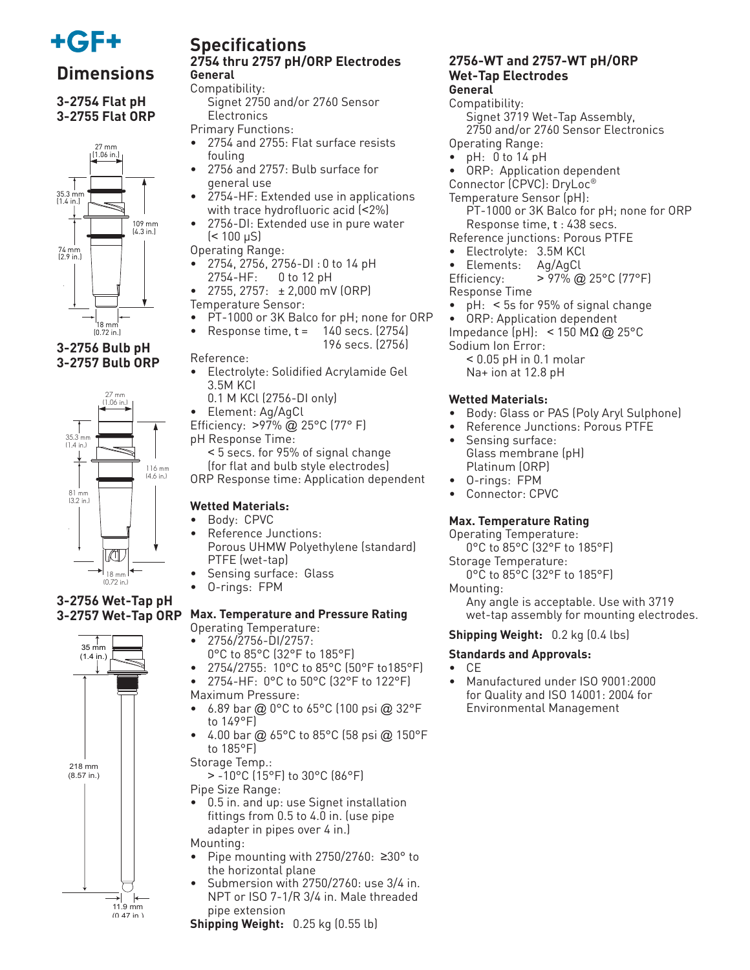

# **Dimensions**

**3-2754 Flat pH 3-2755 Flat ORP**



## **3-2756 Bulb pH 3-2757 Bulb ORP**



#### **3-2756 Wet-Tap pH 3-2757 Wet-Tap ORP**



## **Specifications 2754 thru 2757 pH/ORP Electrodes General**

Compatibility:

 Signet 2750 and/or 2760 Sensor **Electronics** 

Primary Functions:

- 2754 and 2755: Flat surface resists fouling
- 2756 and 2757: Bulb surface for general use
- 2754-HF: Extended use in applications with trace hydrofluoric acid (<2%)
- 2756-DI: Extended use in pure water  $($  < 100  $\mu$ S)

Operating Range:

- 2754, 2756, 2756-DI : 0 to 14 pH 2754-HF: 0 to 12 pH
- 2755, 2757: ± 2,000 mV (ORP)
- Temperature Sensor:
- PT-1000 or 3K Balco for pH; none for ORP
	- Response time,  $t = 140$  secs.  $(2754)$ 
		- 196 secs. (2756)

Reference:

- Electrolyte: Solidified Acrylamide Gel 3.5M KCI
	- 0.1 M KCl (2756-DI only)
- Element: Ag/AgCl
- Efficiency: >97% @ 25°C (77° F)
- pH Response Time: < 5 secs. for 95% of signal change

 (for flat and bulb style electrodes) ORP Response time: Application dependent

## **Wetted Materials:**

- Body: CPVC
- Reference Junctions: Porous UHMW Polyethylene (standard) PTFE (wet-tap)
- Sensing surface: Glass
- O-rings: FPM

#### **Max. Temperature and Pressure Rating** Operating Temperature:

- 2756/2756-DI/2757:
- 0°C to 85°C (32°F to 185°F) • 2754/2755: 10°C to 85°C (50°F to185°F)
- 2754-HF: 0°C to 50°C (32°F to 122°F) Maximum Pressure:
- 6.89 bar @ 0°C to 65°C (100 psi @ 32°F to 149°F)
- 4.00 bar @ 65°C to 85°C (58 psi @ 150°F to 185°F)
- Storage Temp.:
	- > -10°C (15°F) to 30°C (86°F)
- Pipe Size Range:
- 0.5 in. and up: use Signet installation fittings from 0.5 to 4.0 in. (use pipe adapter in pipes over 4 in.) Mounting:
- Pipe mounting with 2750/2760: ≥30° to the horizontal plane
- Submersion with 2750/2760: use 3/4 in. NPT or ISO 7-1/R 3/4 in. Male threaded pipe extension
- **Shipping Weight:** 0.25 kg (0.55 lb)

#### **2756-WT and 2757-WT pH/ORP Wet-Tap Electrodes General**

## Compatibility:

 Signet 3719 Wet-Tap Assembly, 2750 and/or 2760 Sensor Electronics Operating Range:

- pH: 0 to 14 pH
- ORP: Application dependent
- Connector (CPVC): DryLoc®

Temperature Sensor (pH): PT-1000 or 3K Balco for pH; none for ORP Response time, t : 438 secs.

- Reference junctions: Porous PTFE
- Electrolyte: 3.5M KCl
- Elements: Ag/AgCl

Efficiency: > 97% @ 25°C (77°F) Response Time

- pH: < 5s for 95% of signal change
- ORP: Application dependent
- Impedance (pH): < 150 MΩ @ 25°C
- Sodium Ion Error:

< 0.05 pH in 0.1 molar Na+ ion at 12.8 pH

## **Wetted Materials:**

- Body: Glass or PAS (Poly Aryl Sulphone)
- Reference Junctions: Porous PTFE
- Sensing surface: Glass membrane (pH) Platinum (ORP)
- O-rings: FPM
- Connector: CPVC

## **Max. Temperature Rating**

Operating Temperature:

0°C to 85°C (32°F to 185°F)

Storage Temperature: 0°C to 85°C (32°F to 185°F)

Mounting:

 Any angle is acceptable. Use with 3719 wet-tap assembly for mounting electrodes.

## **Shipping Weight:** 0.2 kg (0.4 lbs)

## **Standards and Approvals:**

- CE
- Manufactured under ISO 9001:2000 for Quality and ISO 14001: 2004 for Environmental Management